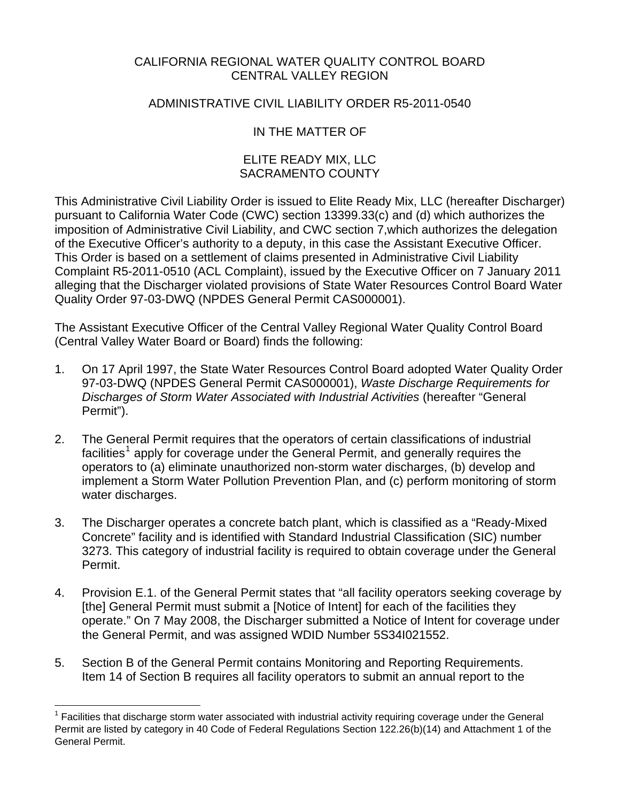### CALIFORNIA REGIONAL WATER QUALITY CONTROL BOARD CENTRAL VALLEY REGION

#### ADMINISTRATIVE CIVIL LIABILITY ORDER R5-2011-0540

# IN THE MATTER OF

#### ELITE READY MIX, LLC SACRAMENTO COUNTY

This Administrative Civil Liability Order is issued to Elite Ready Mix, LLC (hereafter Discharger) pursuant to California Water Code (CWC) section 13399.33(c) and (d) which authorizes the imposition of Administrative Civil Liability, and CWC section 7,which authorizes the delegation of the Executive Officer's authority to a deputy, in this case the Assistant Executive Officer. This Order is based on a settlement of claims presented in Administrative Civil Liability Complaint R5-2011-0510 (ACL Complaint), issued by the Executive Officer on 7 January 2011 alleging that the Discharger violated provisions of State Water Resources Control Board Water Quality Order 97-03-DWQ (NPDES General Permit CAS000001).

The Assistant Executive Officer of the Central Valley Regional Water Quality Control Board (Central Valley Water Board or Board) finds the following:

- 1. On 17 April 1997, the State Water Resources Control Board adopted Water Quality Order 97-03-DWQ (NPDES General Permit CAS000001), *Waste Discharge Requirements for Discharges of Storm Water Associated with Industrial Activities* (hereafter "General Permit").
- 2. The General Permit requires that the operators of certain classifications of industrial facilities<sup>[1](#page-0-0)</sup> apply for coverage under the General Permit, and generally requires the operators to (a) eliminate unauthorized non-storm water discharges, (b) develop and implement a Storm Water Pollution Prevention Plan, and (c) perform monitoring of storm water discharges.
- 3. The Discharger operates a concrete batch plant, which is classified as a "Ready-Mixed Concrete" facility and is identified with Standard Industrial Classification (SIC) number 3273. This category of industrial facility is required to obtain coverage under the General Permit.
- 4. Provision E.1. of the General Permit states that "all facility operators seeking coverage by [the] General Permit must submit a [Notice of Intent] for each of the facilities they operate." On 7 May 2008, the Discharger submitted a Notice of Intent for coverage under the General Permit, and was assigned WDID Number 5S34I021552.
- 5. Section B of the General Permit contains Monitoring and Reporting Requirements. Item 14 of Section B requires all facility operators to submit an annual report to the

<u>.</u>

<span id="page-0-0"></span><sup>1</sup> Facilities that discharge storm water associated with industrial activity requiring coverage under the General Permit are listed by category in 40 Code of Federal Regulations Section 122.26(b)(14) and Attachment 1 of the General Permit.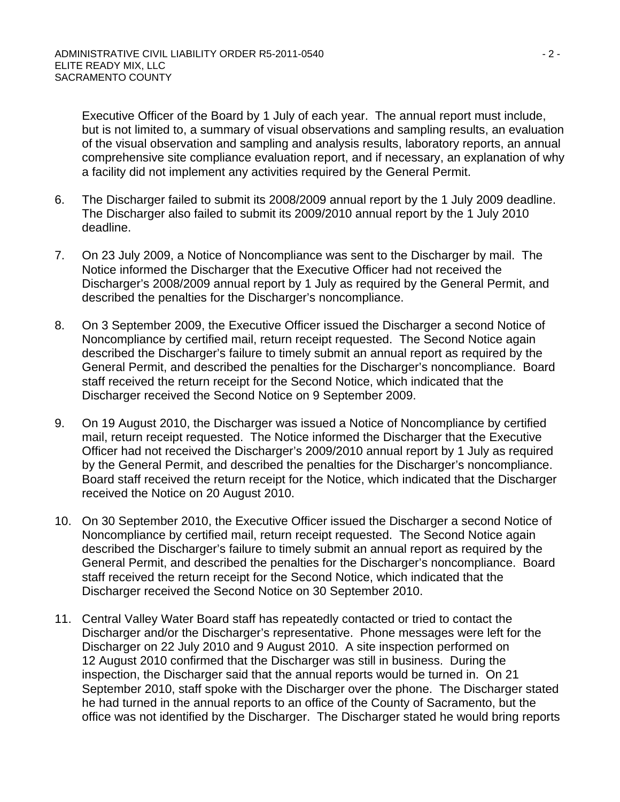Executive Officer of the Board by 1 July of each year. The annual report must include, but is not limited to, a summary of visual observations and sampling results, an evaluation of the visual observation and sampling and analysis results, laboratory reports, an annual comprehensive site compliance evaluation report, and if necessary, an explanation of why a facility did not implement any activities required by the General Permit.

- 6. The Discharger failed to submit its 2008/2009 annual report by the 1 July 2009 deadline. The Discharger also failed to submit its 2009/2010 annual report by the 1 July 2010 deadline.
- 7. On 23 July 2009, a Notice of Noncompliance was sent to the Discharger by mail. The Notice informed the Discharger that the Executive Officer had not received the Discharger's 2008/2009 annual report by 1 July as required by the General Permit, and described the penalties for the Discharger's noncompliance.
- 8. On 3 September 2009, the Executive Officer issued the Discharger a second Notice of Noncompliance by certified mail, return receipt requested. The Second Notice again described the Discharger's failure to timely submit an annual report as required by the General Permit, and described the penalties for the Discharger's noncompliance. Board staff received the return receipt for the Second Notice, which indicated that the Discharger received the Second Notice on 9 September 2009.
- 9. On 19 August 2010, the Discharger was issued a Notice of Noncompliance by certified mail, return receipt requested. The Notice informed the Discharger that the Executive Officer had not received the Discharger's 2009/2010 annual report by 1 July as required by the General Permit, and described the penalties for the Discharger's noncompliance. Board staff received the return receipt for the Notice, which indicated that the Discharger received the Notice on 20 August 2010.
- 10. On 30 September 2010, the Executive Officer issued the Discharger a second Notice of Noncompliance by certified mail, return receipt requested. The Second Notice again described the Discharger's failure to timely submit an annual report as required by the General Permit, and described the penalties for the Discharger's noncompliance. Board staff received the return receipt for the Second Notice, which indicated that the Discharger received the Second Notice on 30 September 2010.
- 11. Central Valley Water Board staff has repeatedly contacted or tried to contact the Discharger and/or the Discharger's representative. Phone messages were left for the Discharger on 22 July 2010 and 9 August 2010. A site inspection performed on 12 August 2010 confirmed that the Discharger was still in business. During the inspection, the Discharger said that the annual reports would be turned in. On 21 September 2010, staff spoke with the Discharger over the phone. The Discharger stated he had turned in the annual reports to an office of the County of Sacramento, but the office was not identified by the Discharger. The Discharger stated he would bring reports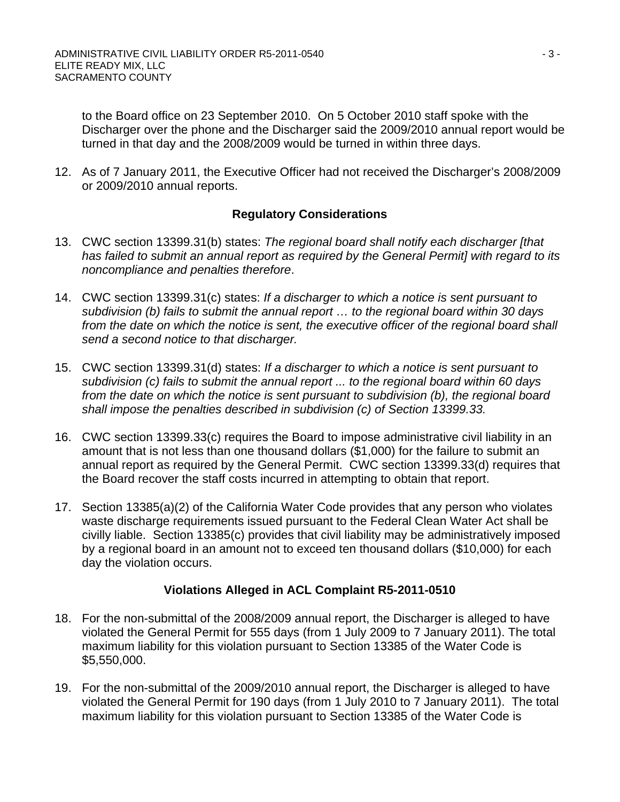to the Board office on 23 September 2010. On 5 October 2010 staff spoke with the Discharger over the phone and the Discharger said the 2009/2010 annual report would be turned in that day and the 2008/2009 would be turned in within three days.

12. As of 7 January 2011, the Executive Officer had not received the Discharger's 2008/2009 or 2009/2010 annual reports.

### **Regulatory Considerations**

- 13. CWC section 13399.31(b) states: *The regional board shall notify each discharger [that has failed to submit an annual report as required by the General Permit] with regard to its noncompliance and penalties therefore*.
- 14. CWC section 13399.31(c) states: *If a discharger to which a notice is sent pursuant to subdivision (b) fails to submit the annual report … to the regional board within 30 days*  from the date on which the notice is sent, the executive officer of the regional board shall *send a second notice to that discharger.*
- 15. CWC section 13399.31(d) states: *If a discharger to which a notice is sent pursuant to subdivision (c) fails to submit the annual report ... to the regional board within 60 days from the date on which the notice is sent pursuant to subdivision (b), the regional board shall impose the penalties described in subdivision (c) of Section 13399.33.*
- 16. CWC section 13399.33(c) requires the Board to impose administrative civil liability in an amount that is not less than one thousand dollars (\$1,000) for the failure to submit an annual report as required by the General Permit. CWC section 13399.33(d) requires that the Board recover the staff costs incurred in attempting to obtain that report.
- 17. Section 13385(a)(2) of the California Water Code provides that any person who violates waste discharge requirements issued pursuant to the Federal Clean Water Act shall be civilly liable. Section 13385(c) provides that civil liability may be administratively imposed by a regional board in an amount not to exceed ten thousand dollars (\$10,000) for each day the violation occurs.

# **Violations Alleged in ACL Complaint R5-2011-0510**

- 18. For the non-submittal of the 2008/2009 annual report, the Discharger is alleged to have violated the General Permit for 555 days (from 1 July 2009 to 7 January 2011). The total maximum liability for this violation pursuant to Section 13385 of the Water Code is \$5,550,000.
- 19. For the non-submittal of the 2009/2010 annual report, the Discharger is alleged to have violated the General Permit for 190 days (from 1 July 2010 to 7 January 2011). The total maximum liability for this violation pursuant to Section 13385 of the Water Code is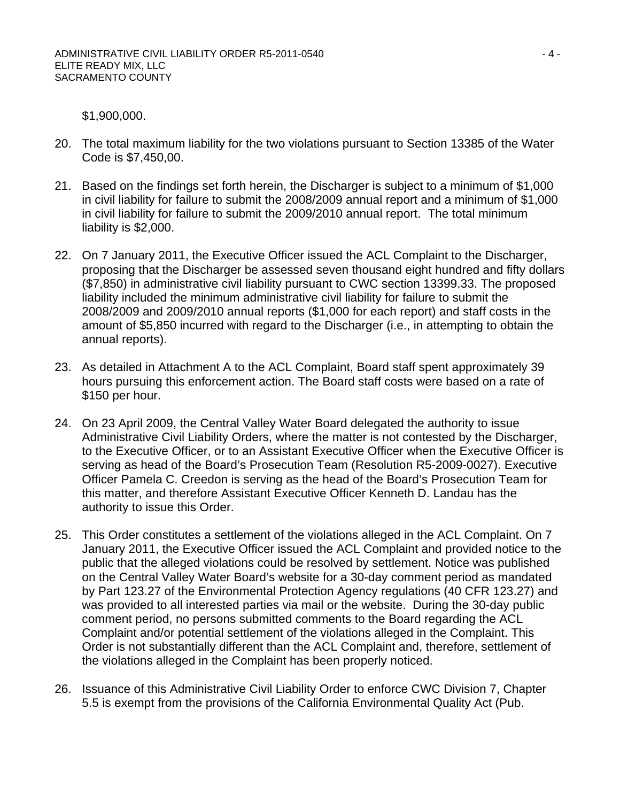\$1,900,000.

- 20. The total maximum liability for the two violations pursuant to Section 13385 of the Water Code is \$7,450,00.
- 21. Based on the findings set forth herein, the Discharger is subject to a minimum of \$1,000 in civil liability for failure to submit the 2008/2009 annual report and a minimum of \$1,000 in civil liability for failure to submit the 2009/2010 annual report. The total minimum liability is \$2,000.
- 22. On 7 January 2011, the Executive Officer issued the ACL Complaint to the Discharger, proposing that the Discharger be assessed seven thousand eight hundred and fifty dollars (\$7,850) in administrative civil liability pursuant to CWC section 13399.33. The proposed liability included the minimum administrative civil liability for failure to submit the 2008/2009 and 2009/2010 annual reports (\$1,000 for each report) and staff costs in the amount of \$5,850 incurred with regard to the Discharger (i.e., in attempting to obtain the annual reports).
- 23. As detailed in Attachment A to the ACL Complaint, Board staff spent approximately 39 hours pursuing this enforcement action. The Board staff costs were based on a rate of \$150 per hour.
- 24. On 23 April 2009, the Central Valley Water Board delegated the authority to issue Administrative Civil Liability Orders, where the matter is not contested by the Discharger, to the Executive Officer, or to an Assistant Executive Officer when the Executive Officer is serving as head of the Board's Prosecution Team (Resolution R5-2009-0027). Executive Officer Pamela C. Creedon is serving as the head of the Board's Prosecution Team for this matter, and therefore Assistant Executive Officer Kenneth D. Landau has the authority to issue this Order.
- 25. This Order constitutes a settlement of the violations alleged in the ACL Complaint. On 7 January 2011, the Executive Officer issued the ACL Complaint and provided notice to the public that the alleged violations could be resolved by settlement. Notice was published on the Central Valley Water Board's website for a 30-day comment period as mandated by Part 123.27 of the Environmental Protection Agency regulations (40 CFR 123.27) and was provided to all interested parties via mail or the website. During the 30-day public comment period, no persons submitted comments to the Board regarding the ACL Complaint and/or potential settlement of the violations alleged in the Complaint. This Order is not substantially different than the ACL Complaint and, therefore, settlement of the violations alleged in the Complaint has been properly noticed.
- 26. Issuance of this Administrative Civil Liability Order to enforce CWC Division 7, Chapter 5.5 is exempt from the provisions of the California Environmental Quality Act (Pub.